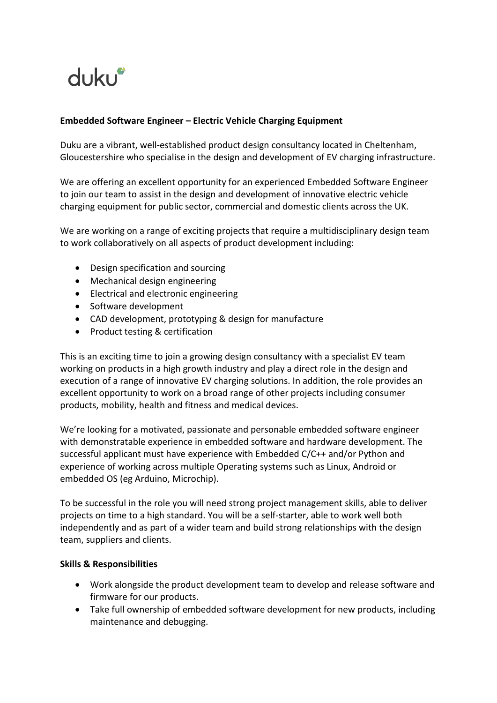

# **Embedded Software Engineer – Electric Vehicle Charging Equipment**

Duku are a vibrant, well-established product design consultancy located in Cheltenham, Gloucestershire who specialise in the design and development of EV charging infrastructure.

We are offering an excellent opportunity for an experienced Embedded Software Engineer to join our team to assist in the design and development of innovative electric vehicle charging equipment for public sector, commercial and domestic clients across the UK.

We are working on a range of exciting projects that require a multidisciplinary design team to work collaboratively on all aspects of product development including:

- Design specification and sourcing
- Mechanical design engineering
- Electrical and electronic engineering
- Software development
- CAD development, prototyping & design for manufacture
- Product testing & certification

This is an exciting time to join a growing design consultancy with a specialist EV team working on products in a high growth industry and play a direct role in the design and execution of a range of innovative EV charging solutions. In addition, the role provides an excellent opportunity to work on a broad range of other projects including consumer products, mobility, health and fitness and medical devices.

We're looking for a motivated, passionate and personable embedded software engineer with demonstratable experience in embedded software and hardware development. The successful applicant must have experience with Embedded C/C++ and/or Python and experience of working across multiple Operating systems such as Linux, Android or embedded OS (eg Arduino, Microchip).

To be successful in the role you will need strong project management skills, able to deliver projects on time to a high standard. You will be a self-starter, able to work well both independently and as part of a wider team and build strong relationships with the design team, suppliers and clients.

### **Skills & Responsibilities**

- Work alongside the product development team to develop and release software and firmware for our products.
- Take full ownership of embedded software development for new products, including maintenance and debugging.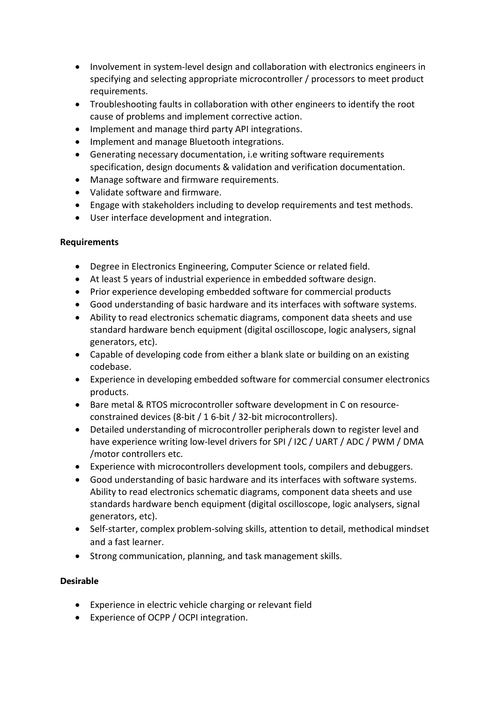- Involvement in system-level design and collaboration with electronics engineers in specifying and selecting appropriate microcontroller / processors to meet product requirements.
- Troubleshooting faults in collaboration with other engineers to identify the root cause of problems and implement corrective action.
- Implement and manage third party API integrations.
- Implement and manage Bluetooth integrations.
- Generating necessary documentation, i.e writing software requirements specification, design documents & validation and verification documentation.
- Manage software and firmware requirements.
- Validate software and firmware.
- Engage with stakeholders including to develop requirements and test methods.
- User interface development and integration.

### **Requirements**

- Degree in Electronics Engineering, Computer Science or related field.
- At least 5 years of industrial experience in embedded software design.
- Prior experience developing embedded software for commercial products
- Good understanding of basic hardware and its interfaces with software systems.
- Ability to read electronics schematic diagrams, component data sheets and use standard hardware bench equipment (digital oscilloscope, logic analysers, signal generators, etc).
- Capable of developing code from either a blank slate or building on an existing codebase.
- Experience in developing embedded software for commercial consumer electronics products.
- Bare metal & RTOS microcontroller software development in C on resourceconstrained devices (8-bit / 1 6-bit / 32-bit microcontrollers).
- Detailed understanding of microcontroller peripherals down to register level and have experience writing low-level drivers for SPI / I2C / UART / ADC / PWM / DMA /motor controllers etc.
- Experience with microcontrollers development tools, compilers and debuggers.
- Good understanding of basic hardware and its interfaces with software systems. Ability to read electronics schematic diagrams, component data sheets and use standards hardware bench equipment (digital oscilloscope, logic analysers, signal generators, etc).
- Self-starter, complex problem-solving skills, attention to detail, methodical mindset and a fast learner.
- Strong communication, planning, and task management skills.

### **Desirable**

- Experience in electric vehicle charging or relevant field
- Experience of OCPP / OCPI integration.